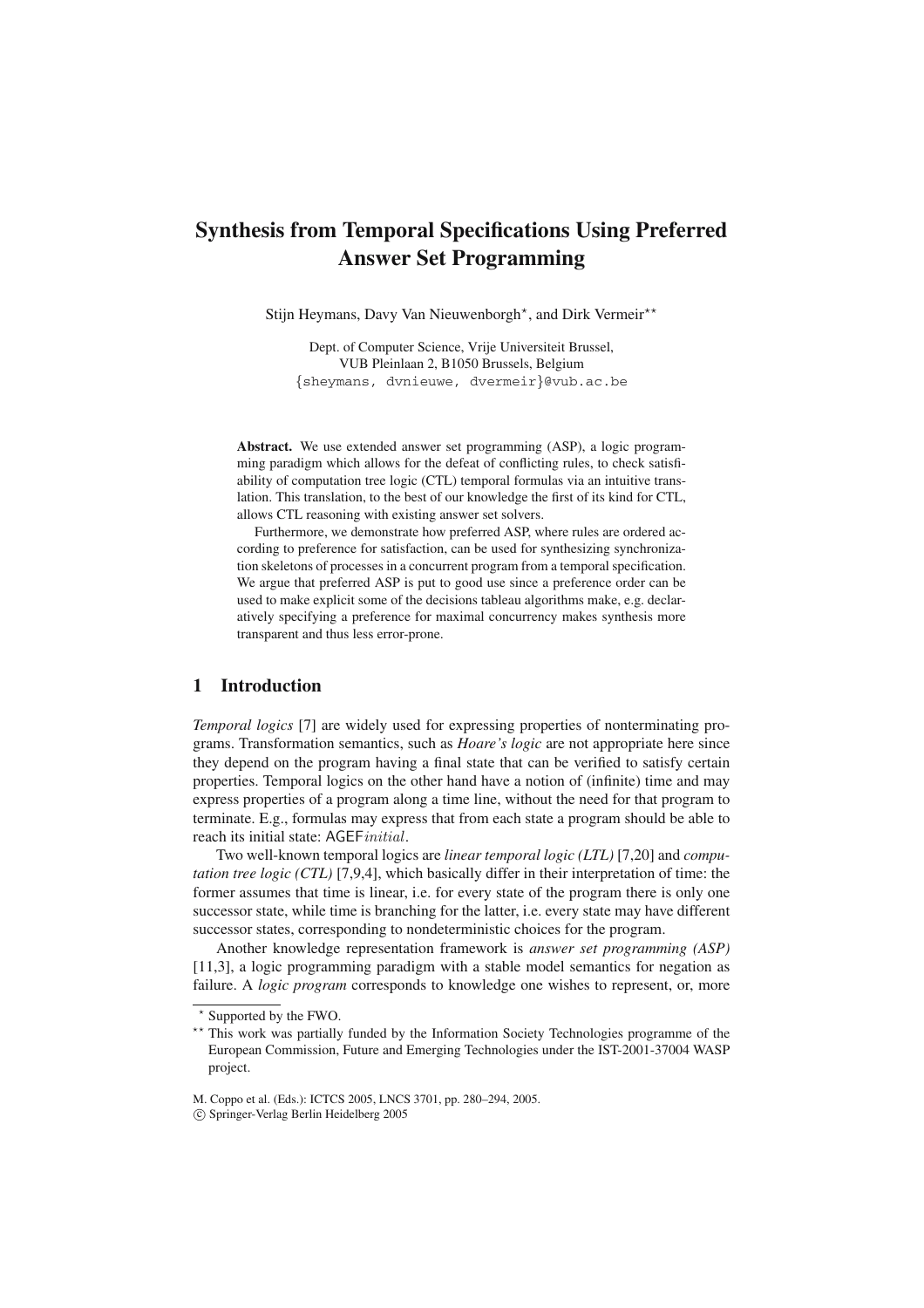# **Synthesis from Temporal Specifications Using Preferred Answer Set Programming**

Stijn Heymans, Davy Van Nieuwenborgh\*, and Dirk Vermeir\*\*

Dept. of Computer Science, Vrije Universiteit Brussel, VUB Pleinlaan 2, B1050 Brussels, Belgium {sheymans, dvnieuwe, dvermeir}@vub.ac.be

**Abstract.** We use extended answer set programming (ASP), a logic programming paradigm which allows for the defeat of conflicting rules, to check satisfiability of computation tree logic (CTL) temporal formulas via an intuitive translation. This translation, to the best of our knowledge the first of its kind for CTL, allows CTL reasoning with existing answer set solvers.

Furthermore, we demonstrate how preferred ASP, where rules are ordered according to preference for satisfaction, can be used for synthesizing synchronization skeletons of processes in a concurrent program from a temporal specification. We argue that preferred ASP is put to good use since a preference order can be used to make explicit some of the decisions tableau algorithms make, e.g. declaratively specifying a preference for maximal concurrency makes synthesis more transparent and thus less error-prone.

## **1 Introduction**

*Temporal logics* [\[7\]](#page-13-0) are widely used for expressing properties of nonterminating programs. Transformation semantics, such as *Hoare's logic* are not appropriate here since they depend on the program having a final state that can be verified to satisfy certain properties. Temporal logics on the other hand have a notion of (infinite) time and may express properties of a program along a time line, without the need for that program to terminate. E.g., formulas may express that from each state a program should be able to reach its initial state: AGEFinitial.

Two well-known temporal logics are *linear temporal logic (LTL)* [\[7,](#page-13-0)[20\]](#page-14-0) and *computation tree logic (CTL)* [\[7](#page-13-0)[,9](#page-13-1)[,4\]](#page-13-2), which basically differ in their interpretation of time: the former assumes that time is linear, i.e. for every state of the program there is only one successor state, while time is branching for the latter, i.e. every state may have different successor states, corresponding to nondeterministic choices for the program.

Another knowledge representation framework is *answer set programming (ASP)* [\[11,](#page-13-3)[3\]](#page-13-4), a logic programming paradigm with a stable model semantics for negation as failure. A *logic program* corresponds to knowledge one wishes to represent, or, more

Supported by the FWO.

<sup>\*\*</sup> This work was partially funded by the Information Society Technologies programme of the European Commission, Future and Emerging Technologies under the IST-2001-37004 WASP project.

M. Coppo et al. (Eds.): ICTCS 2005, LNCS 3701, pp. 280[–294,](#page-13-5) 2005.

c Springer-Verlag Berlin Heidelberg 2005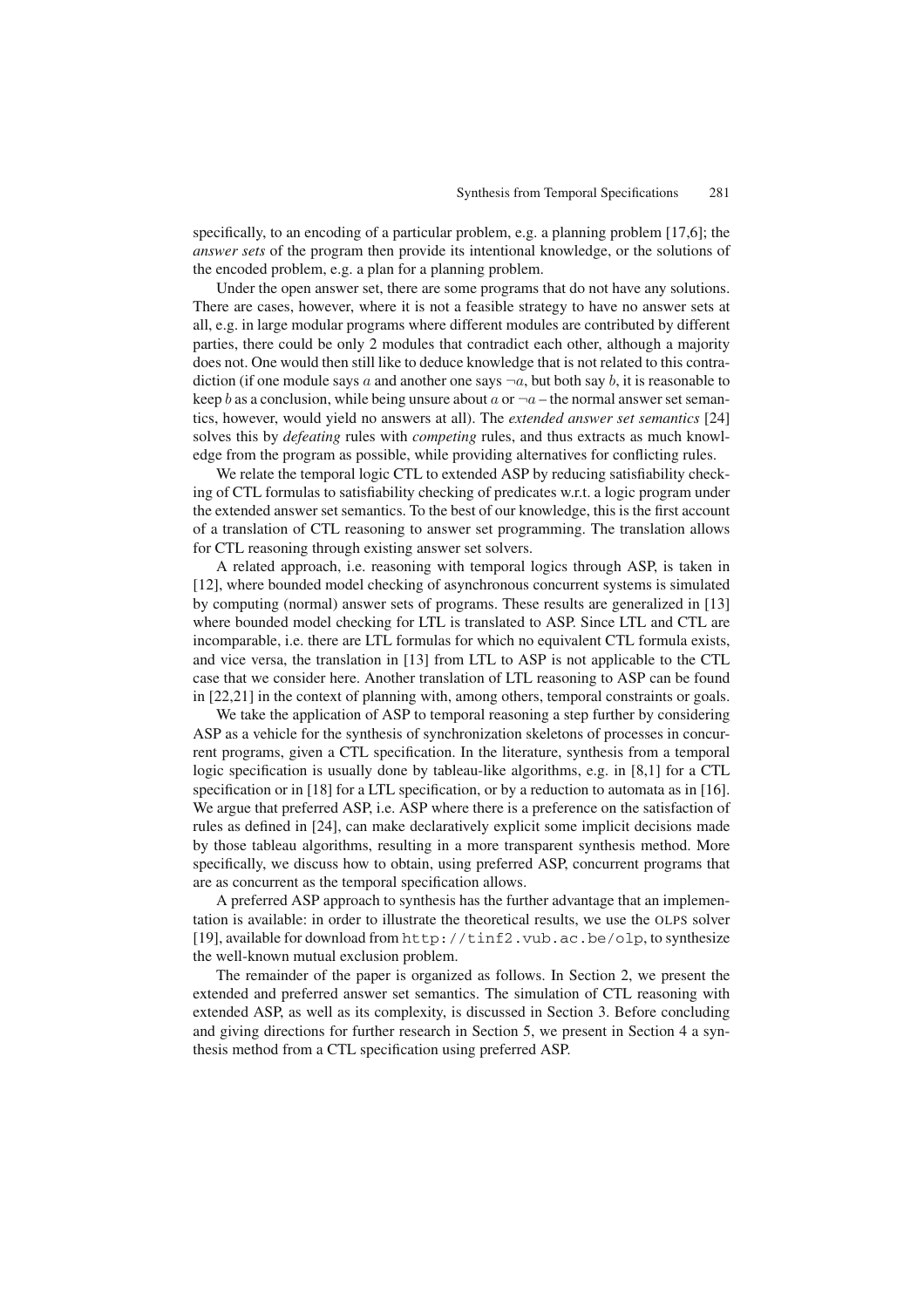specifically, to an encoding of a particular problem, e.g. a planning problem [\[17](#page-14-1)[,6\]](#page-13-6); the *answer sets* of the program then provide its intentional knowledge, or the solutions of the encoded problem, e.g. a plan for a planning problem.

Under the open answer set, there are some programs that do not have any solutions. There are cases, however, where it is not a feasible strategy to have no answer sets at all, e.g. in large modular programs where different modules are contributed by different parties, there could be only 2 modules that contradict each other, although a majority does not. One would then still like to deduce knowledge that is not related to this contradiction (if one module says a and another one says  $\neg a$ , but both say b, it is reasonable to keep b as a conclusion, while being unsure about a or  $\neg a$  – the normal answer set semantics, however, would yield no answers at all). The *extended answer set semantics* [\[24\]](#page-14-2) solves this by *defeating* rules with *competing* rules, and thus extracts as much knowledge from the program as possible, while providing alternatives for conflicting rules.

We relate the temporal logic CTL to extended ASP by reducing satisfiability checking of CTL formulas to satisfiability checking of predicates w.r.t. a logic program under the extended answer set semantics. To the best of our knowledge, this is the first account of a translation of CTL reasoning to answer set programming. The translation allows for CTL reasoning through existing answer set solvers.

A related approach, i.e. reasoning with temporal logics through ASP, is taken in [\[12\]](#page-13-7), where bounded model checking of asynchronous concurrent systems is simulated by computing (normal) answer sets of programs. These results are generalized in [\[13\]](#page-13-8) where bounded model checking for LTL is translated to ASP. Since LTL and CTL are incomparable, i.e. there are LTL formulas for which no equivalent CTL formula exists, and vice versa, the translation in [\[13\]](#page-13-8) from LTL to ASP is not applicable to the CTL case that we consider here. Another translation of LTL reasoning to ASP can be found in [\[22](#page-14-3)[,21\]](#page-14-4) in the context of planning with, among others, temporal constraints or goals.

We take the application of ASP to temporal reasoning a step further by considering ASP as a vehicle for the synthesis of synchronization skeletons of processes in concurrent programs, given a CTL specification. In the literature, synthesis from a temporal logic specification is usually done by tableau-like algorithms, e.g. in [\[8,](#page-13-9)[1\]](#page-13-10) for a CTL specification or in [\[18\]](#page-14-5) for a LTL specification, or by a reduction to automata as in [\[16\]](#page-13-11). We argue that preferred ASP, i.e. ASP where there is a preference on the satisfaction of rules as defined in [\[24\]](#page-14-2), can make declaratively explicit some implicit decisions made by those tableau algorithms, resulting in a more transparent synthesis method. More specifically, we discuss how to obtain, using preferred ASP, concurrent programs that are as concurrent as the temporal specification allows.

A preferred ASP approach to synthesis has the further advantage that an implementation is available: in order to illustrate the theoretical results, we use the OLPS solver [\[19\]](#page-14-6), available for download from <http://tinf2.vub.ac.be/olp>, to synthesize the well-known mutual exclusion problem.

The remainder of the paper is organized as follows. In Section [2,](#page-2-0) we present the extended and preferred answer set semantics. The simulation of CTL reasoning with extended ASP, as well as its complexity, is discussed in Section [3.](#page-3-0) Before concluding and giving directions for further research in Section [5,](#page-13-12) we present in Section [4](#page-8-0) a synthesis method from a CTL specification using preferred ASP.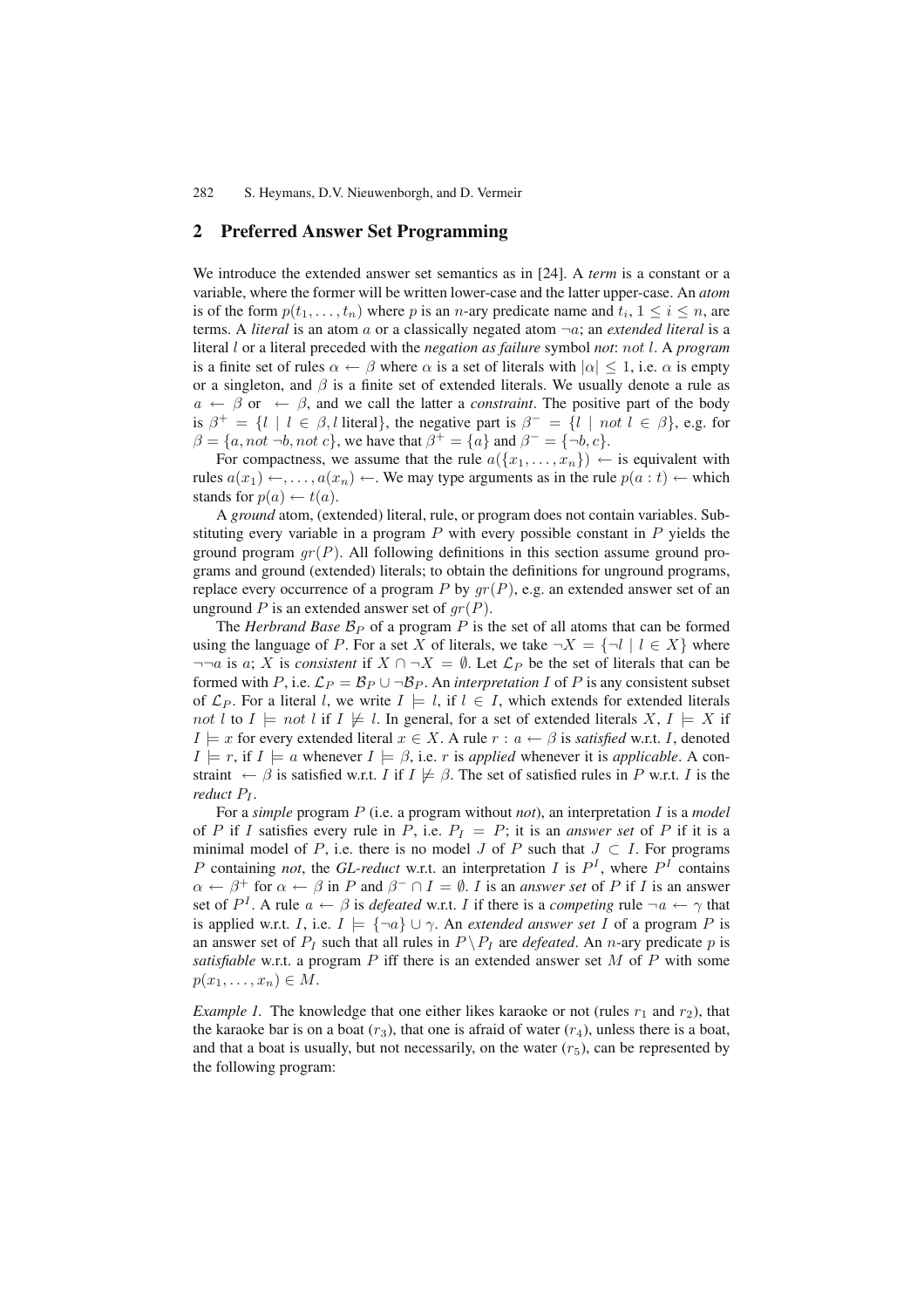# <span id="page-2-0"></span>**2 Preferred Answer Set Programming**

We introduce the extended answer set semantics as in [\[24\]](#page-14-2). A *term* is a constant or a variable, where the former will be written lower-case and the latter upper-case. An *atom* is of the form  $p(t_1,...,t_n)$  where p is an n-ary predicate name and  $t_i, 1 \le i \le n$ , are terms. A *literal* is an atom a or a classically negated atom ¬a; an *extended literal* is a literal l or a literal preceded with the *negation as failure* symbol *not*: not l. A *program* is a finite set of rules  $\alpha \leftarrow \beta$  where  $\alpha$  is a set of literals with  $|\alpha| \leq 1$ , i.e.  $\alpha$  is empty or a singleton, and  $\beta$  is a finite set of extended literals. We usually denote a rule as  $a \leftarrow \beta$  or  $\leftarrow \beta$ , and we call the latter a *constraint*. The positive part of the body is  $\beta^+ = \{l \mid l \in \beta, l \text{ literal}\}\$ , the negative part is  $\beta^- = \{l \mid not \ l \in \beta\}\$ , e.g. for  $\beta = \{a, not \neg b, not \c\}$ , we have that  $\beta^+ = \{a\}$  and  $\beta^- = \{\neg b, c\}$ .

For compactness, we assume that the rule  $a({x_1,...,x_n}) \leftarrow$  is equivalent with rules  $a(x_1) \leftarrow, \ldots, a(x_n) \leftarrow$ . We may type arguments as in the rule  $p(a : t) \leftarrow$  which stands for  $p(a) \leftarrow t(a)$ .

A *ground* atom, (extended) literal, rule, or program does not contain variables. Substituting every variable in a program  $P$  with every possible constant in  $P$  yields the ground program  $gr(P)$ . All following definitions in this section assume ground programs and ground (extended) literals; to obtain the definitions for unground programs, replace every occurrence of a program P by  $qr(P)$ , e.g. an extended answer set of an unground P is an extended answer set of  $gr(P)$ .

The *Herbrand Base*  $\mathcal{B}_P$  of a program P is the set of all atoms that can be formed using the language of P. For a set X of literals, we take  $\neg X = \{\neg l \mid l \in X\}$  where  $\neg\neg a$  is a; X is *consistent* if  $X \cap \neg X = \emptyset$ . Let  $\mathcal{L}_P$  be the set of literals that can be formed with P, i.e.  $\mathcal{L}_P = \mathcal{B}_P \cup \neg \mathcal{B}_P$ . An *interpretation* I of P is any consistent subset of  $\mathcal{L}_P$ . For a literal l, we write  $I \models l$ , if  $l \in I$ , which extends for extended literals not l to  $I \models not$  l if  $I \not\models l$ . In general, for a set of extended literals  $X, I \models X$  if  $I \models x$  for every extended literal  $x \in X$ . A rule  $r : a \leftarrow \beta$  is *satisfied* w.r.t. I, denoted  $I \models r$ , if  $I \models a$  whenever  $I \models \beta$ , i.e. r is *applied* whenever it is *applicable*. A constraint  $\leftarrow \beta$  is satisfied w.r.t. I if  $I \not\models \beta$ . The set of satisfied rules in P w.r.t. I is the *reduct*  $P_I$ .

For a *simple* program P (i.e. a program without *not*), an interpretation I is a *model* of P if I satisfies every rule in P, i.e.  $P_I = P$ ; it is an *answer set* of P if it is a minimal model of P, i.e. there is no model J of P such that  $J \subset I$ . For programs P containing *not*, the *GL-reduct* w.r.t. an interpretation I is  $P<sup>I</sup>$ , where  $P<sup>I</sup>$  contains  $\alpha \leftarrow \beta^+$  for  $\alpha \leftarrow \beta$  in P and  $\beta^- \cap I = \emptyset$ . I is an *answer set* of P if I is an answer set of  $P^I$ . A rule  $a \leftarrow \beta$  is *defeated* w.r.t. I if there is a *competing* rule  $\neg a \leftarrow \gamma$  that is applied w.r.t. I, i.e.  $I \models {\neg a} \cup \gamma$ . An *extended answer set* I of a program P is an answer set of  $P_I$  such that all rules in  $P \setminus P_I$  are *defeated*. An *n*-ary predicate p is *satisfiable* w.r.t. a program P iff there is an extended answer set M of P with some  $p(x_1,\ldots,x_n) \in M$ .

<span id="page-2-1"></span>*Example 1.* The knowledge that one either likes karaoke or not (rules  $r_1$  and  $r_2$ ), that the karaoke bar is on a boat  $(r_3)$ , that one is afraid of water  $(r_4)$ , unless there is a boat, and that a boat is usually, but not necessarily, on the water  $(r_5)$ , can be represented by the following program: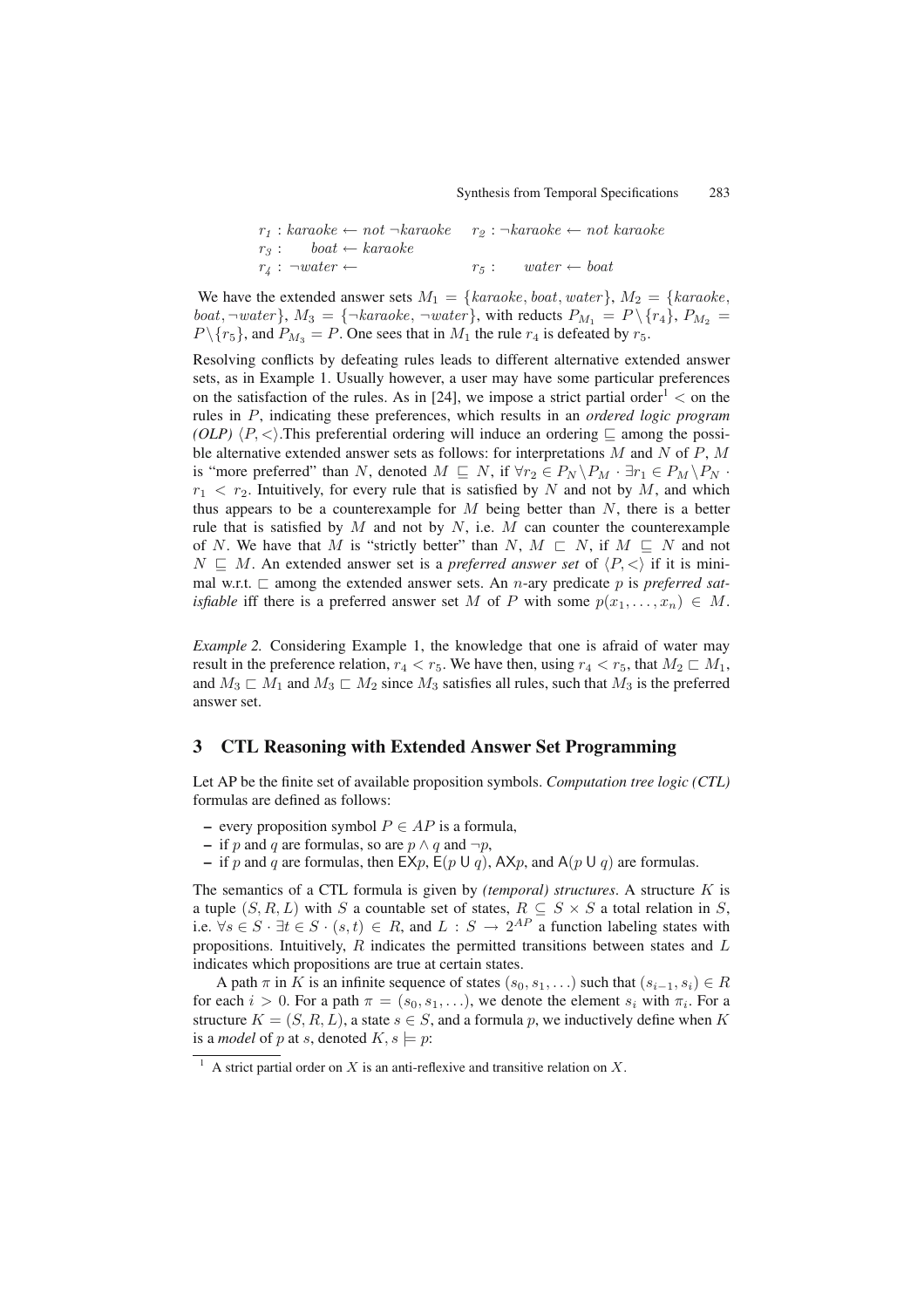|  | $r_1: karaoke \leftarrow not \neg karaoke \quad r_2: \neg karaoke \leftarrow not karaoke$ |  |         |                         |  |  |
|--|-------------------------------------------------------------------------------------------|--|---------|-------------------------|--|--|
|  | $r_3:$ boat $\leftarrow$ karaoke                                                          |  |         |                         |  |  |
|  | $r_{\lambda}: \neg water \leftarrow$                                                      |  | $r_5$ : | $water \leftarrow boat$ |  |  |

We have the extended answer sets  $M_1 = \{karaoke, boat, water\}, M_2 = \{karaoke,$ boat,  $\neg water\}$ ,  $M_3 = \{\neg karaske, \neg water\}$ , with reducts  $P_{M_1} = P \setminus \{r_4\}$ ,  $P_{M_2} =$  $P \setminus \{r_5\}$ , and  $P_{M_3} = P$ . One sees that in  $M_1$  the rule  $r_4$  is defeated by  $r_5$ .

Resolving conflicts by defeating rules leads to different alternative extended answer sets, as in Example [1.](#page-2-1) Usually however, a user may have some particular preferences on the satisfaction of the rules. As in [\[24\]](#page-14-2), we impose a strict partial order<sup>[1](#page-3-1)</sup>  $\lt$  on the rules in P, indicating these preferences, which results in an *ordered logic program (OLP)*  $\langle P, \langle \rangle$ . This preferential ordering will induce an ordering  $\subseteq$  among the possible alternative extended answer sets as follows: for interpretations  $M$  and  $N$  of  $P$ ,  $M$ is "more preferred" than N, denoted  $M \subseteq N$ , if  $\forall r_2 \in P_N \backslash P_M \cdot \exists r_1 \in P_M \backslash P_N$ .  $r_1 < r_2$ . Intuitively, for every rule that is satisfied by N and not by M, and which thus appears to be a counterexample for  $M$  being better than  $N$ , there is a better rule that is satisfied by  $M$  and not by  $N$ , i.e.  $M$  can counter the counterexample of N. We have that M is "strictly better" than N,  $M \subseteq N$ , if  $M \subseteq N$  and not  $N \subseteq M$ . An extended answer set is a *preferred answer set* of  $\langle P, \langle \rangle$  if it is minimal w.r.t.  $\Box$  among the extended answer sets. An *n*-ary predicate p is *preferred satisfiable* iff there is a preferred answer set M of P with some  $p(x_1,...,x_n) \in M$ .

*Example 2.* Considering Example [1,](#page-2-1) the knowledge that one is afraid of water may result in the preference relation,  $r_4 < r_5$ . We have then, using  $r_4 < r_5$ , that  $M_2 \sqsubset M_1$ , and  $M_3 \sqsubset M_1$  and  $M_3 \sqsubset M_2$  since  $M_3$  satisfies all rules, such that  $M_3$  is the preferred answer set.

## <span id="page-3-0"></span>**3 CTL Reasoning with Extended Answer Set Programming**

Let AP be the finite set of available proposition symbols. *Computation tree logic (CTL)* formulas are defined as follows:

- **–** every proposition symbol  $P \in AP$  is a formula,
- **−** if p and q are formulas, so are  $p \land q$  and  $\neg p$ ,
- **–** if p and q are formulas, then  $E X p$ ,  $E (p \cup q)$ ,  $A X p$ , and  $A (p \cup q)$  are formulas.

The semantics of a CTL formula is given by *(temporal) structures*. A structure K is a tuple  $(S, R, L)$  with S a countable set of states,  $R \subseteq S \times S$  a total relation in S, i.e.  $\forall s \in S \cdot \exists t \in S \cdot (s, t) \in R$ , and  $L : S \to 2^{AP}$  a function labeling states with propositions. Intuitively,  $R$  indicates the permitted transitions between states and  $L$ indicates which propositions are true at certain states.

A path  $\pi$  in K is an infinite sequence of states  $(s_0, s_1, \ldots)$  such that  $(s_{i-1}, s_i) \in R$ for each  $i > 0$ . For a path  $\pi = (s_0, s_1, \ldots)$ , we denote the element  $s_i$  with  $\pi_i$ . For a structure  $K = (S, R, L)$ , a state  $s \in S$ , and a formula p, we inductively define when K is a *model* of p at s, denoted  $K$ ,  $s \models p$ :

<span id="page-3-1"></span><sup>&</sup>lt;sup>1</sup> A strict partial order on X is an anti-reflexive and transitive relation on X.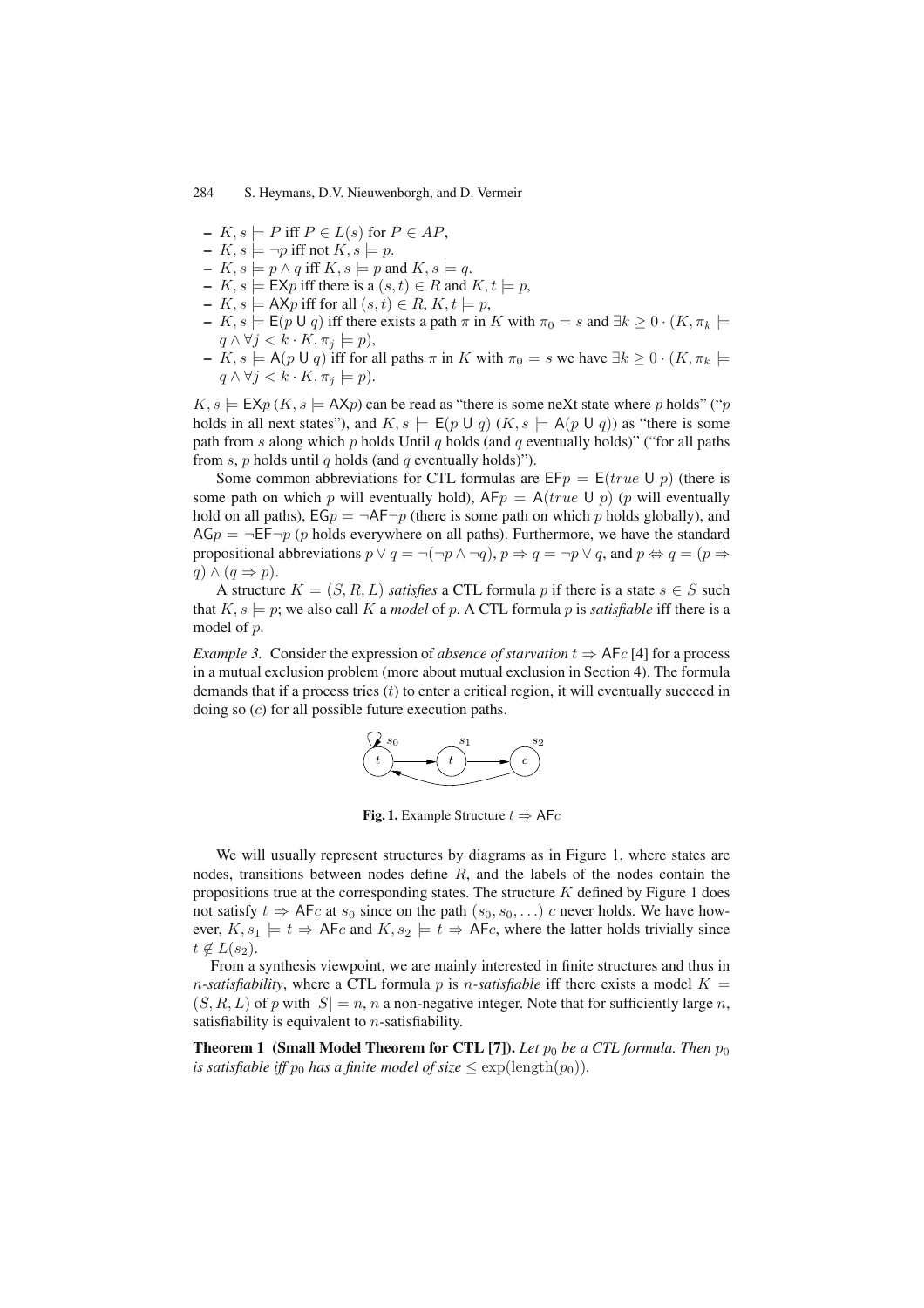- **−**  $K, s \models P$  iff  $P \in L(s)$  for  $P \in AP$ ,
- $-K, s \models \neg p$  iff not  $K, s \models p$ .
- **−**  $K, s \models p \land q$  iff  $K, s \models p$  and  $K, s \models q$ .
- **−**  $K, s \models \textsf{EXp}$  iff there is a  $(s, t) \in R$  and  $K, t \models p$ ,
- **–** *K*, *s*  $\models$  **AX***p* iff for all  $(s, t) \in R$ , *K*,  $t \models p$ ,
- **–**  $K, s \models E(p \cup q)$  iff there exists a path  $\pi$  in K with  $\pi_0 = s$  and  $\exists k \geq 0 \cdot (K, \pi_k \models$  $q \wedge \forall j < k \cdot K, \pi_j \models p$
- **–**  $K, s \models A(p \cup q)$  iff for all paths  $\pi$  in K with  $\pi_0 = s$  we have  $\exists k \geq 0 \cdot (K, \pi_k \models$  $q \wedge \forall j < k \cdot K, \pi_j \models p$ .

 $K, s \models \textsf{EX}_{p}(K, s \models \textsf{AX}_{p})$  can be read as "there is some neXt state where p holds" ("p holds in all next states"), and  $K, s \models E(p \cup q)$   $(K, s \models A(p \cup q))$  as "there is some path from s along which  $p$  holds Until  $q$  holds (and  $q$  eventually holds)" ("for all paths from s, p holds until q holds (and q eventually holds)").

Some common abbreviations for CTL formulas are  $E F_p = E(true \cup p)$  (there is some path on which p will eventually hold),  $AFp = A(true \cup p)$  (p will eventually hold on all paths),  $EGp = \neg AF\neg p$  (there is some path on which p holds globally), and  $AGp = \neg EF \neg p$  (p holds everywhere on all paths). Furthermore, we have the standard propositional abbreviations  $p \lor q = \neg(\neg p \land \neg q)$ ,  $p \Rightarrow q = \neg p \lor q$ , and  $p \Leftrightarrow q = (p \Rightarrow$  $q) \wedge (q \Rightarrow p).$ 

A structure  $K = (S, R, L)$  *satisfies* a CTL formula p if there is a state  $s \in S$  such that  $K, s \models p$ ; we also call K a *model* of p. A CTL formula p is *satisfiable* iff there is a model of p.

<span id="page-4-2"></span>*Example 3.* Consider the expression of *absence of starvation*  $t \Rightarrow \text{AFc [4] for a process}$  $t \Rightarrow \text{AFc [4] for a process}$  $t \Rightarrow \text{AFc [4] for a process}$ in a mutual exclusion problem (more about mutual exclusion in Section [4\)](#page-8-0). The formula demands that if a process tries  $(t)$  to enter a critical region, it will eventually succeed in doing so (c) for all possible future execution paths.



<span id="page-4-0"></span>**Fig. 1.** Example Structure  $t \Rightarrow \text{AFc}$ 

We will usually represent structures by diagrams as in Figure [1,](#page-4-0) where states are nodes, transitions between nodes define  $R$ , and the labels of the nodes contain the propositions true at the corresponding states. The structure  $K$  defined by Figure [1](#page-4-0) does not satisfy  $t \Rightarrow \text{AF}_c$  at  $s_0$  since on the path  $(s_0, s_0, \ldots)$  c never holds. We have however,  $K, s_1 \models t \Rightarrow \text{AFc}$  and  $K, s_2 \models t \Rightarrow \text{AFc}$ , where the latter holds trivially since  $t \notin L(s_2)$ .

From a synthesis viewpoint, we are mainly interested in finite structures and thus in *n*-satisfiability, where a CTL formula p is n-satisfiable iff there exists a model  $K =$  $(S, R, L)$  of p with  $|S| = n$ , n a non-negative integer. Note that for sufficiently large n, satisfiability is equivalent to  $n$ -satisfiability.

<span id="page-4-1"></span>**Theorem 1 (Small Model Theorem for CTL [\[7\]](#page-13-0)).** Let  $p_0$  be a CTL formula. Then  $p_0$ *is satisfiable iff*  $p_0$  *has a finite model of size*  $\leq$  exp(length( $p_0$ )).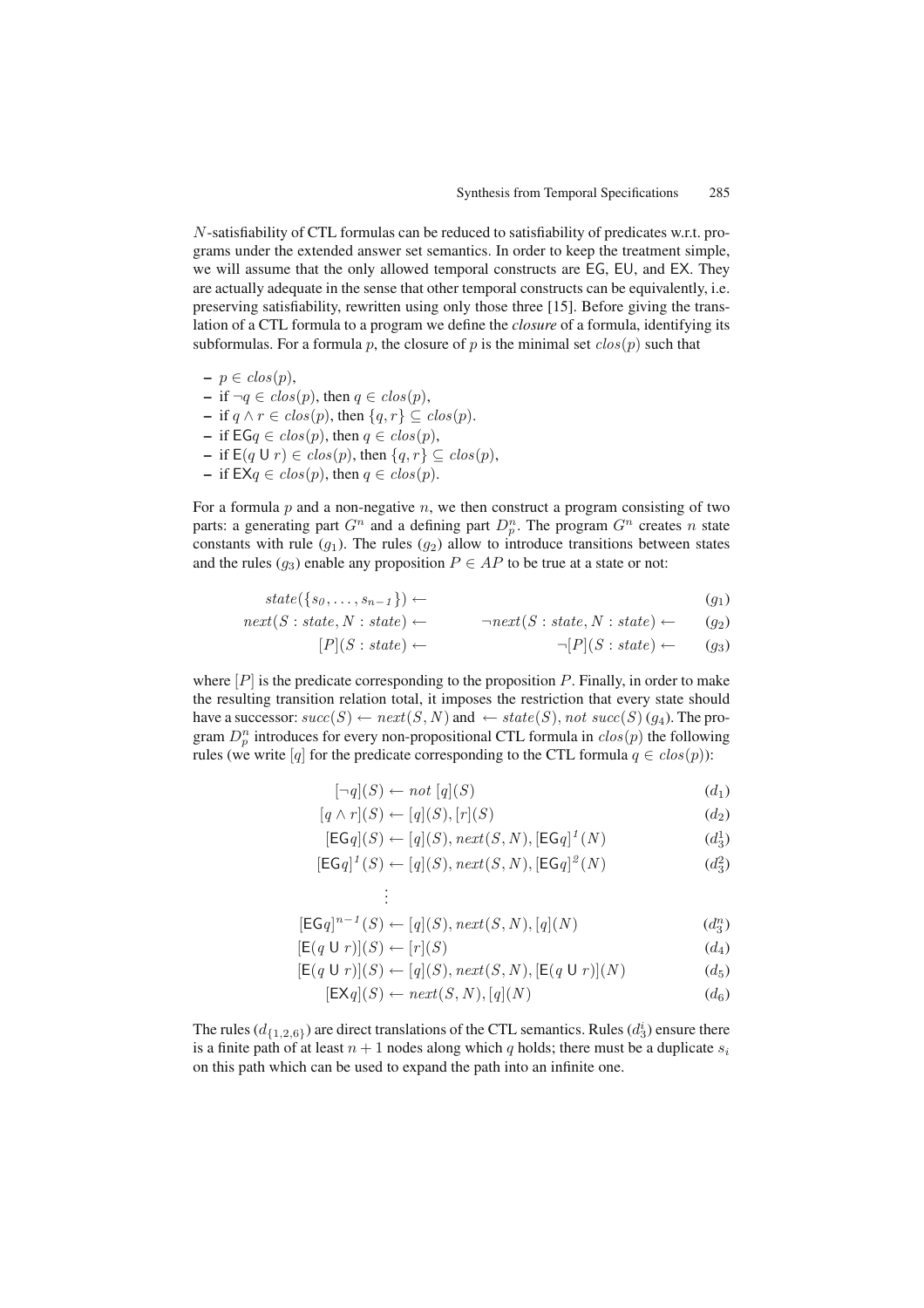N-satisfiability of CTL formulas can be reduced to satisfiability of predicates w.r.t. programs under the extended answer set semantics. In order to keep the treatment simple, we will assume that the only allowed temporal constructs are EG, EU, and EX. They are actually adequate in the sense that other temporal constructs can be equivalently, i.e. preserving satisfiability, rewritten using only those three [\[15\]](#page-13-13). Before giving the translation of a CTL formula to a program we define the *closure* of a formula, identifying its subformulas. For a formula p, the closure of p is the minimal set  $clos(p)$  such that

 $− p ∈ clos(p),$ **−** if  $\neg q \in clos(p)$ , then  $q \in clos(p)$ , **−** if  $q \land r \in clos(p)$ , then  $\{q, r\} \subseteq clos(p)$ . **−** if  $\textsf{EG}q \in clos(p)$ , then  $q \in clos(p)$ , **−** if  $E(q \cup r) \in clos(p)$ , then  $\{q, r\} \subseteq clos(p)$ , **−** if  $EXq \in clos(p)$ , then  $q \in clos(p)$ .

For a formula  $p$  and a non-negative  $n$ , we then construct a program consisting of two parts: a generating part  $G^n$  and a defining part  $D_p^n$ . The program  $G^n$  creates n state constants with rule  $(q_1)$ . The rules  $(q_2)$  allow to introduce transitions between states and the rules (q<sub>3</sub>) enable any proposition  $P \in AP$  to be true at a state or not:

$$
state({s_0, \ldots, s_{n-1}}) \leftarrow (g_1)
$$

$$
next(S:state, N:state) \leftarrow \qquad \neg next(S:state, N:state) \leftarrow (g_2)
$$

$$
[P](S:state) \leftarrow \qquad \qquad \neg [P](S:state) \leftarrow \qquad (g_3)
$$

where  $[P]$  is the predicate corresponding to the proposition  $P$ . Finally, in order to make the resulting transition relation total, it imposes the restriction that every state should have a successor:  $succ(S) \leftarrow next(S, N)$  and  $\leftarrow state(S)$ , not  $succ(S)(g_4)$ . The program  $D_p^n$  introduces for every non-propositional CTL formula in  $\text{clos}(p)$  the following rules (we write [q] for the predicate corresponding to the CTL formula  $q \in clos(p)$ ):

$$
[\neg q](S) \leftarrow not [q](S) \tag{d_1}
$$

$$
[q \wedge r](S) \leftarrow [q](S), [r](S) \tag{d_2}
$$

$$
[\mathsf{EG}q](S) \leftarrow [q](S), next(S, N), [\mathsf{EG}q]^1(N) \tag{d_3^1}
$$

$$
[EGq]^1(S) \leftarrow [q](S), next(S, N), [EGq]^2(N) \tag{d_3^2}
$$

$$
[EGq]^{n-1}(S) \leftarrow [q](S), next(S, N), [q](N)
$$
\n
$$
(d_3^n)
$$

$$
[\mathsf{E}(q \cup r)](S) \leftarrow [r](S) \tag{d_4}
$$

$$
[\mathsf{E}(q \cup r)](S) \leftarrow [q](S), next(S, N), [\mathsf{E}(q \cup r)](N) \tag{d_5}
$$

$$
[EXq](S) \leftarrow next(S, N), [q](N) \tag{d_6}
$$

The rules  $(d_{\{1,2,6\}})$  are direct translations of the CTL semantics. Rules  $(d_3^i)$  ensure there is a finite path of at least  $n + 1$  nodes along which q holds; there must be a duplicate  $s_i$ on this path which can be used to expand the path into an infinite one.

. . .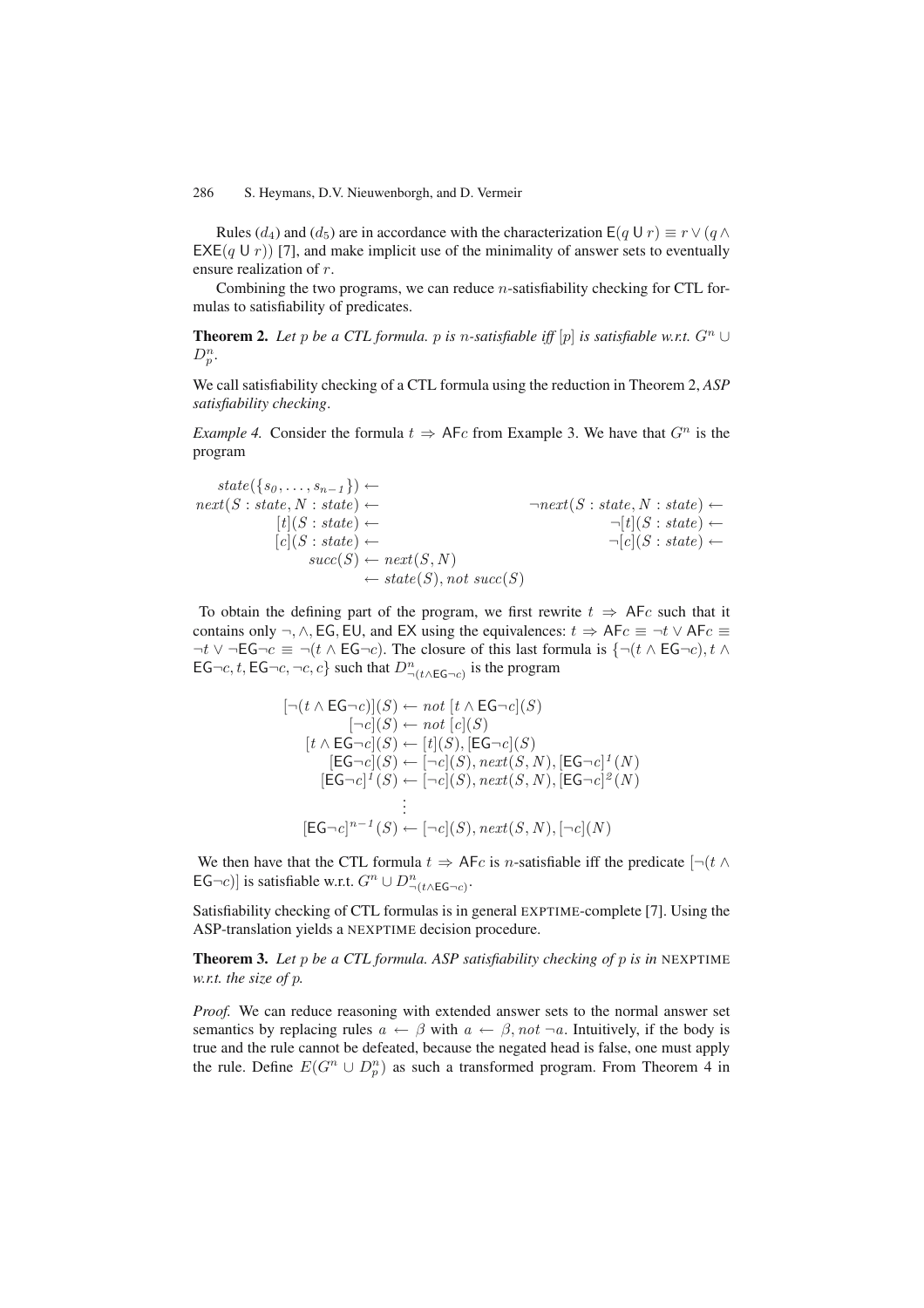Rules ([d](#page-4-1)<sub>4</sub>) and (d<sub>5</sub>) are in accordance with the characterization  $E(q \cup r) \equiv r \vee (q \wedge r)$  $EXE(q U r)$  [\[7\]](#page-13-0), and make implicit use of the minimality of answer sets to eventually ensure realization of r.

<span id="page-6-0"></span>Combining the two programs, we can reduce  $n$ -satisfiability checking for CTL formulas to satisfiability of predicates.

**Theorem 2.** *Let* p *be a CTL formula.* p *is* n-satisfiable iff [p] *is satisfiable w.r.t.*  $G<sup>n</sup> \cup$  $D_p^n$ .

We call satisfiability checking of a CTL formula using the reduction in Theorem [2,](#page-6-0) *ASP satisfiability checking*.

*Example 4.* Consider the formula  $t \Rightarrow \text{AFc}$  from Example [3.](#page-4-2) We have that  $G^n$  is the program

$$
state({s_0, ..., s_{n-1}}) \leftarrow
$$
  
\n
$$
next(S: state, N: state) \leftarrow
$$
  
\n
$$
[t](S: state) \leftarrow
$$
  
\n
$$
[c](S: state) \leftarrow
$$
  
\n
$$
succ(S) \leftarrow next(S, N)
$$
  
\n
$$
\leftarrow state(S), not succ(S)
$$
  
\n
$$
succ(S)
$$

To obtain the defining part of the program, we first rewrite  $t \Rightarrow A F c$  such that it contains only  $\neg$ ,  $\wedge$ , EG, EU, and EX using the equivalences:  $t \Rightarrow \text{AFc} \equiv \neg t \vee \text{AFc} \equiv$  $\neg t \lor \neg \textsf{EG} \neg c \equiv \neg (t \land \textsf{EG} \neg c)$ . The closure of this last formula is  $\{\neg (t \land \textsf{EG} \neg c), t \land \textsf{EG} \neg c\}$ EG¬c, t, EG¬c, ¬c, c} such that  $D_{\neg(t \wedge E \neg c)}^n$  is the program

$$
[\neg(t \land \mathsf{EG}\neg c)](S) \leftarrow not [t \land \mathsf{EG}\neg c](S)
$$
  
\n
$$
[\neg c](S) \leftarrow not [c](S)
$$
  
\n
$$
[t \land \mathsf{EG}\neg c](S) \leftarrow [t](S), [\mathsf{EG}\neg c](S)
$$
  
\n
$$
[\mathsf{EG}\neg c](S) \leftarrow [\neg c](S), next(S, N), [\mathsf{EG}\neg c]^1(N)
$$
  
\n
$$
[\mathsf{EG}\neg c]^1(S) \leftarrow [\neg c](S), next(S, N), [\mathsf{EG}\neg c]^2(N)
$$
  
\n
$$
\vdots
$$
  
\n
$$
[\mathsf{EG}\neg c]^{n-1}(S) \leftarrow [\neg c](S), next(S, N), [\neg c](N)
$$

We then have that the CTL formula  $t \Rightarrow A F c$  is *n*-satisfiable iff the predicate  $\lceil \neg (t \land F c \rceil + 1 \rceil)$ EG¬c)] is satisfiable w.r.t.  $G^n \cup D_{\neg(t \wedge \text{EG}\neg c)}^n$ .

Satisfiability checking of CTL formulas is in general EXPTIME-complete [\[7\]](#page-13-0). Using the ASP-translation yields a NEXPTIME decision procedure.

**Theorem 3.** *Let* p *be a CTL formula. ASP satisfiability checking of* p *is in* NEXPTIME *w.r.t. the size of* p*.*

*Proof.* We can reduce reasoning with extended answer sets to the normal answer set semantics by replacing rules  $a \leftarrow \beta$  with  $a \leftarrow \beta$ , not  $\neg a$ . Intuitively, if the body is true and the rule cannot be defeated, because the negated head is false, one must apply the rule. Define  $E(G^n \cup D_p^n)$  as such a transformed program. From Theorem 4 in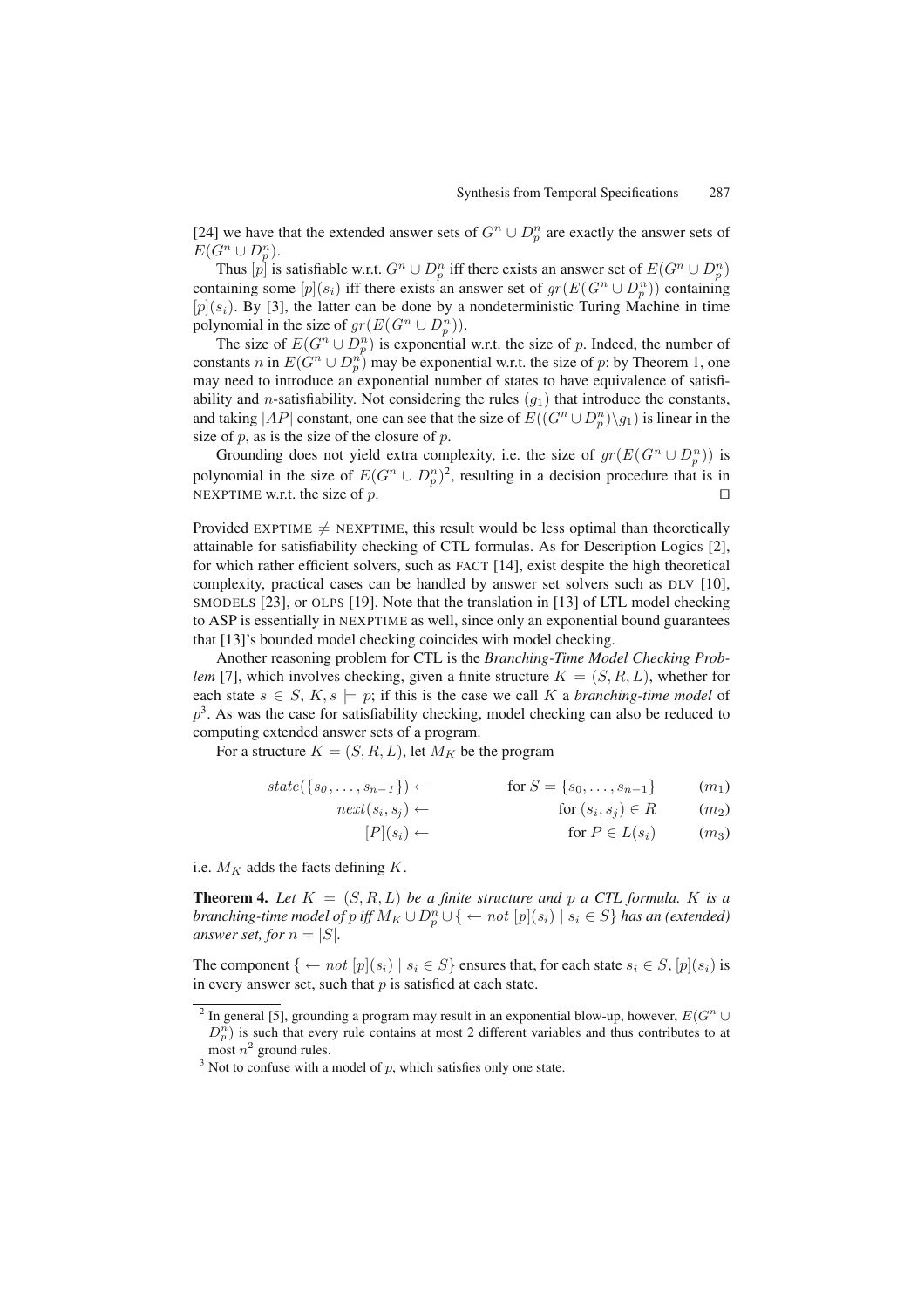[\[24\]](#page-14-2) we have that the extended answer sets of  $G^n \cup D_p^n$  are exactly the answer sets of  $E(G^n \cup D_p^n).$ 

Thus  $[p]$  is satisfiable w.r.t.  $G^n \cup D_p^n$  iff there exists an answer set of  $E(G^n \cup D_p^n)$ containing some  $[p](s_i)$  iff there exists an answer set of  $gr(E(G^n \cup D_p^n))$  containing  $[p](s_i)$ . By [\[3\]](#page-13-4), the latter can be done by a nondeterministic Turing Machine in time polynomial in the size of  $gr(E(G^n \cup D_p^n))$ .

The size of  $E(G^n \cup D_p^n)$  is exponential w.r.t. the size of p. Indeed, the number of constants *n* in  $E(G^n \cup D_p^n)$  may be exponential w.r.t. the size of *p*: by Theorem [1,](#page-4-1) one may need to introduce an exponential number of states to have equivalence of satisfiability and *n*-satisfiability. Not considering the rules  $(q_1)$  that introduce the constants, and taking |AP| constant, one can see that the size of  $E((G^n \cup D_p^n)\backslash g_1)$  is linear in the size of  $p$ , as is the size of the closure of  $p$ .

Grounding does not yield extra complexity, i.e. the size of  $gr(E(G^n \cup D_p^n))$  is polynomial in the size of  $E(G^n \cup D_p^n)^2$  $E(G^n \cup D_p^n)^2$ , resulting in a decision procedure that is in NEXPTIME w.r.t. the size of  $p$ .

Provided EXPTIME  $\neq$  NEXPTIME, this result would be less optimal than theoretically attainable for satisfiability checking of CTL formulas. As for Description Logics [\[2\]](#page-13-14), for which rather efficient solvers, such as FACT [\[14\]](#page-13-15), exist despite the high theoretical complexity, practical cases can be handled by answer set solvers such as DLV [\[10\]](#page-13-16), SMODELS [\[23\]](#page-14-7), or OLPS [\[19\]](#page-14-6). Note that the translation in [\[13\]](#page-13-8) of LTL model checking to ASP is essentially in NEXPTIME as well, since only an exponential bound guarantees that [\[13\]](#page-13-8)'s bounded model checking coincides with model checking.

Another reasoning problem for CTL is the *Branching-Time Model Checking Problem* [\[7\]](#page-13-0), which involves checking, given a finite structure  $K = (S, R, L)$ , whether for each state  $s \in S$ ,  $K$ ,  $s \models p$ ; if this is the case we call K a *branching-time model* of  $p<sup>3</sup>$  $p<sup>3</sup>$  $p<sup>3</sup>$ . As was the case for satisfiability checking, model checking can also be reduced to computing extended answer sets of a program.

For a structure  $K = (S, R, L)$ , let  $M_K$  be the program

$$
state({s_0, \ldots, s_{n-1}}) \leftarrow \qquad \text{for } S = {s_0, \ldots, s_{n-1}} \qquad (m_1)
$$

 $next(s_i, s_j) \leftarrow \qquad \text{for } (s_i, s_j) \in R \qquad (m_2)$ 

$$
[P](s_i) \leftarrow \qquad \text{for } P \in L(s_i) \qquad (m_3)
$$

i.e.  $M_K$  adds the facts defining  $K$ .

**Theorem 4.** Let  $K = (S, R, L)$  be a finite structure and p a CTL formula. K is a *branching-time model of*  $p$  *iff*  $M_K \cup D_p^n \cup \{ \leftarrow not [p](s_i) \mid s_i \in S \}$  *has an (extended) answer set, for*  $n = |S|$ *.* 

The component  $\{ \leftarrow not [p](s_i) \mid s_i \in S \}$  ensures that, for each state  $s_i \in S$ ,  $[p](s_i)$  is in every answer set, such that  $p$  is satisfied at each state.

<span id="page-7-0"></span><sup>&</sup>lt;sup>2</sup> In general [\[5\]](#page-13-17), grounding a program may result in an exponential blow-up, however,  $E(G^n \cup$  $D_p^n$ ) is such that every rule contains at most 2 different variables and thus contributes to at most  $n^2$  ground rules.

<span id="page-7-1"></span> $3$  Not to confuse with a model of  $p$ , which satisfies only one state.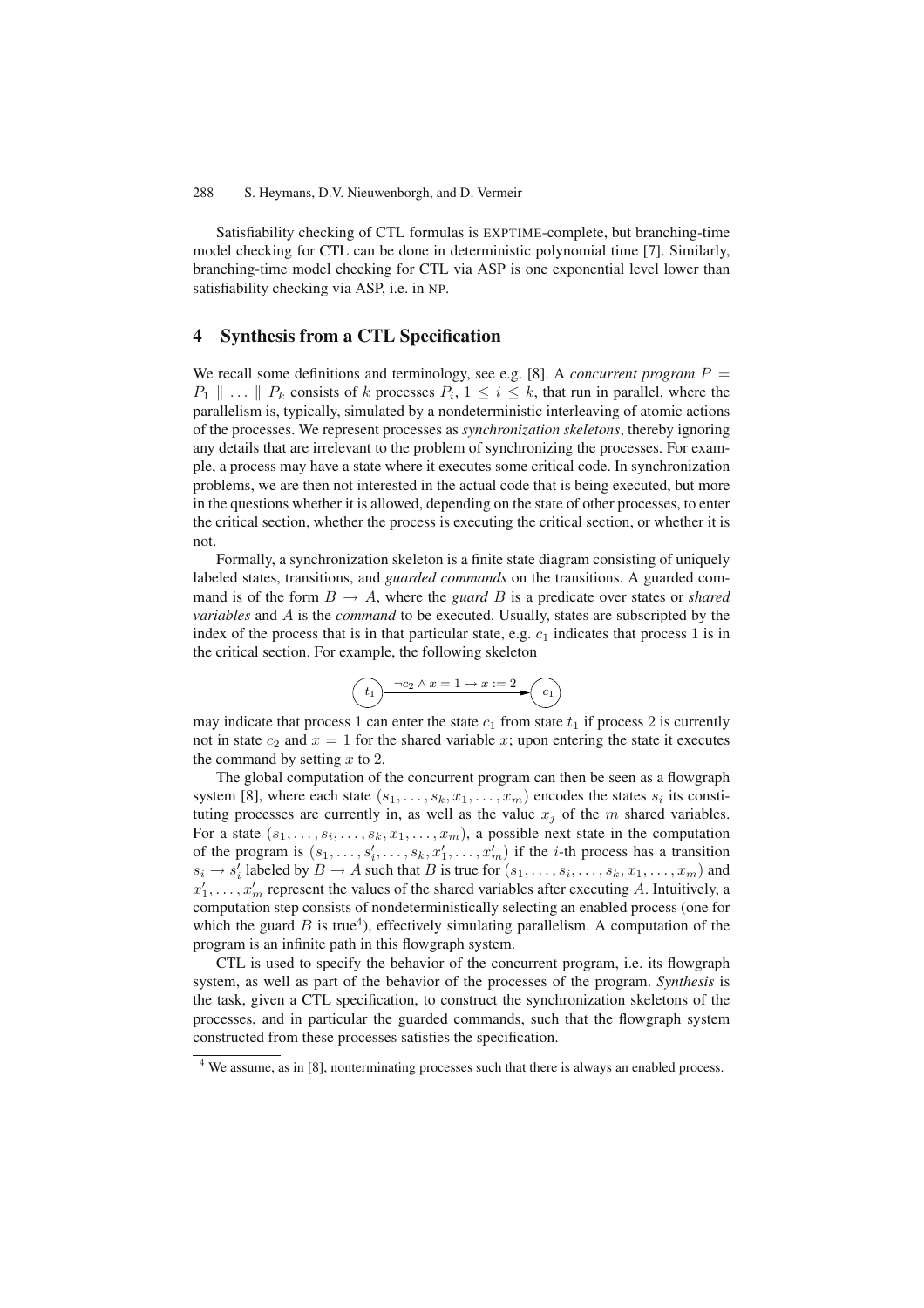Satisfiability checking of CTL formulas is EXPTIME-complete, but branching-time model checking for CTL can be done in deterministic polynomial time [\[7\]](#page-13-0). Similarly, branching-time model checking for CTL via ASP is one exponential level lower than satisfiability checking via ASP, i.e. in NP.

# <span id="page-8-0"></span>**4 Synthesis from a CTL Specification**

We recall some definitions and terminology, see e.g. [\[8\]](#page-13-9). A *concurrent program*  $P =$  $P_1 \parallel \ldots \parallel P_k$  consists of k processes  $P_i$ ,  $1 \leq i \leq k$ , that run in parallel, where the parallelism is, typically, simulated by a nondeterministic interleaving of atomic actions of the processes. We represent processes as *synchronization skeletons*, thereby ignoring any details that are irrelevant to the problem of synchronizing the processes. For example, a process may have a state where it executes some critical code. In synchronization problems, we are then not interested in the actual code that is being executed, but more in the questions whether it is allowed, depending on the state of other processes, to enter the critical section, whether the process is executing the critical section, or whether it is not.

Formally, a synchronization skeleton is a finite state diagram consisting of uniquely labeled states, transitions, and *guarded commands* on the transitions. A guarded command is of the form  $B \to A$ , where the *guard* B is a predicate over states or *shared variables* and A is the *command* to be executed. Usually, states are subscripted by the index of the process that is in that particular state, e.g.  $c_1$  indicates that process 1 is in the critical section. For example, the following skeleton



may indicate that process 1 can enter the state  $c_1$  from state  $t_1$  if process 2 is currently not in state  $c_2$  and  $x = 1$  for the shared variable x; upon entering the state it executes the command by setting  $x$  to 2.

The global computation of the concurrent program can then be seen as a flowgraph system [\[8\]](#page-13-9), where each state  $(s_1, \ldots, s_k, x_1, \ldots, x_m)$  encodes the states  $s_i$  its constituting processes are currently in, as well as the value  $x_j$  of the m shared variables. For a state  $(s_1, \ldots, s_i, \ldots, s_k, x_1, \ldots, x_m)$ , a possible next state in the computation of the program is  $(s_1, \ldots, s'_i, \ldots, s_k, x'_1, \ldots, x'_m)$  if the *i*-th process has a transition  $s_i \rightarrow s'_i$  labeled by  $B \rightarrow A$  such that B is true for  $(s_1, \ldots, s_i, \ldots, s_k, x_1, \ldots, x_m)$  and  $x'_1, \ldots, x'_m$  represent the values of the shared variables after executing A. Intuitively, a computation step consists of nondeterministically selecting an enabled process (one for which the guard  $B$  is true<sup>4</sup>), effectively simulating parallelism. A computation of the program is an infinite path in this flowgraph system.

CTL is used to specify the behavior of the concurrent program, i.e. its flowgraph system, as well as part of the behavior of the processes of the program. *Synthesis* is the task, given a CTL specification, to construct the synchronization skeletons of the processes, and in particular the guarded commands, such that the flowgraph system constructed from these processes satisfies the specification.

<span id="page-8-1"></span><sup>&</sup>lt;sup>4</sup> We assume, as in [\[8\]](#page-13-9), nonterminating processes such that there is always an enabled process.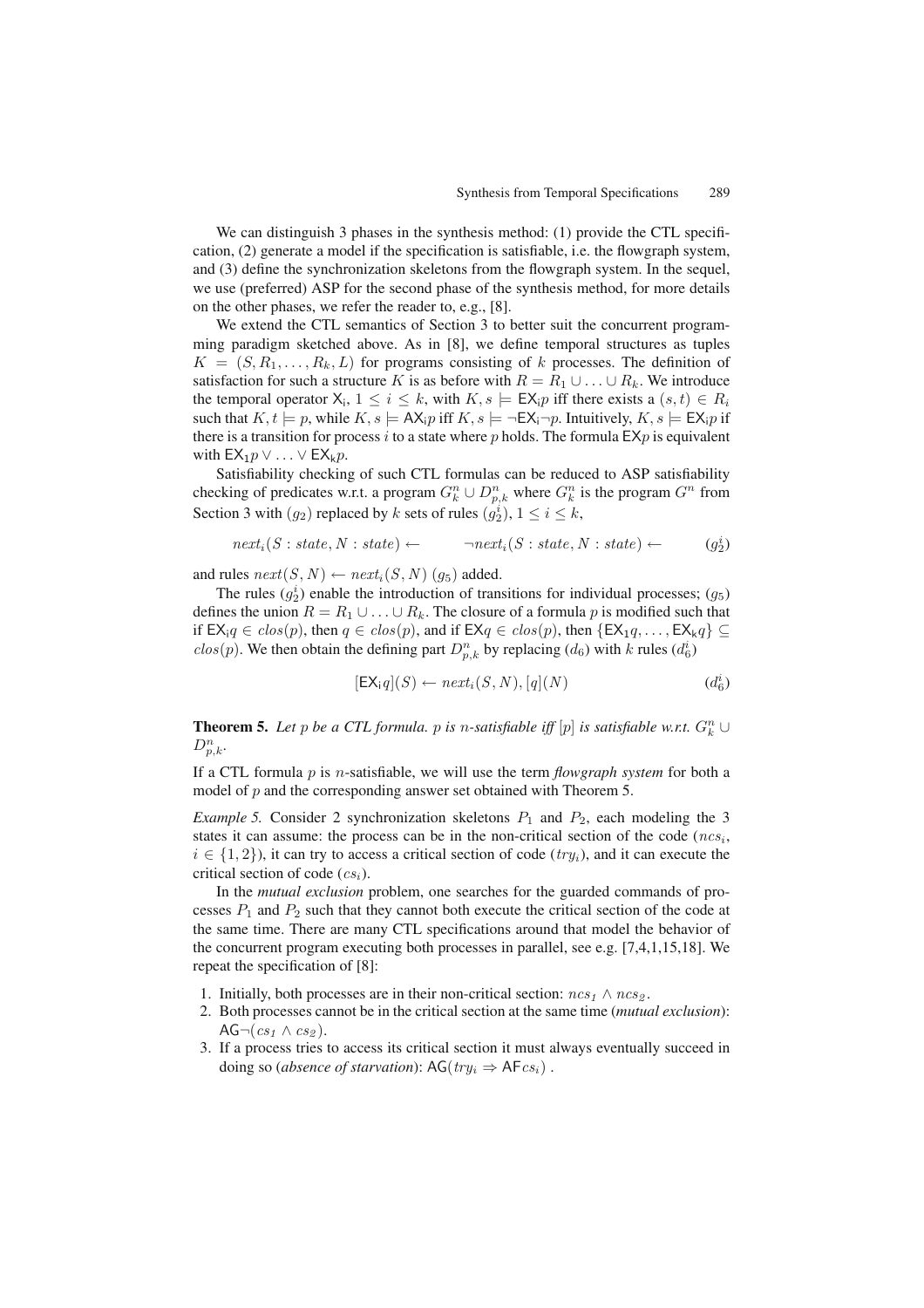We can distinguish 3 phases in the synthesis method: (1) provide the CTL specification, (2) generate a model if the specification is satisfiable, i.e. the flowgraph system, and (3) define the synchronization skeletons from the flowgraph system. In the sequel, we use (preferred) ASP for the second phase of the synthesis method, for more details on the other phases, we refer the reader to, e.g., [\[8\]](#page-13-9).

We extend the CTL semantics of Section [3](#page-3-0) to better suit the concurrent programming paradigm sketched above. As in [\[8\]](#page-13-9), we define temporal structures as tuples  $K = (S, R_1, \ldots, R_k, L)$  for programs consisting of k processes. The definition of satisfaction for such a structure K is as before with  $R = R_1 \cup ... \cup R_k$ . We introduce the temporal operator  $X_i$ ,  $1 \le i \le k$ , with  $K, s \models \mathsf{EX}_{i}$  iff there exists a  $(s, t) \in R_i$ such that  $K, t \models p$ , while  $K, s \models AX_i p$  iff  $K, s \models \neg EX_i \neg p$ . Intuitively,  $K, s \models EX_i p$  if there is a transition for process i to a state where p holds. The formula  $E X p$  is equivalent with  $EX_1p \vee \ldots \vee EX_kp$ .

Satisfiability checking of such CTL formulas can be reduced to ASP satisfiability checking of predicates w.r.t. a program  $G_k^n \cup D_{p,k}^n$  where  $G_k^n$  is the program  $G^n$  from Section [3](#page-3-0) with  $(g_2)$  replaced by k sets of rules  $(g_2^i)$ ,  $1 \le i \le k$ ,

$$
next_i(S:state, N:state) \leftarrow \neg next_i(S:state, N:state) \leftarrow (g_2^i)
$$

and rules  $next(S, N) \leftarrow next_i(S, N)$  ( $g_5$ ) added.

The rules  $(g_2^i)$  $(g_2^i)$  $(g_2^i)$  enable the introduction of transitions for individual processes;  $(g_5)$ defines the union  $R = R_1 \cup ... \cup R_k$ . The closure of a formula p is modified such that if  $EX_i q \in clos(p)$ , then  $q \in clos(p)$ , and if  $EX_q \in clos(p)$ , then  $\{EX_1 q, \ldots, EX_k q\} \subseteq$  $\text{clos}(p)$ . We then obtain the [d](#page-8-0)efining part  $D_{p,k}^n$  by replacing  $(d_6)$  with k rules  $(d_6^i)$ 

<span id="page-9-1"></span>
$$
[EX_i q](S) \leftarrow next_i(S, N), [q](N) \qquad (d_6^i)
$$

<span id="page-9-0"></span>**Theorem 5.** Let p be a CTL formula. p is n-satisfiable iff  $[p]$  is satisfiable w.r.t.  $G_k^n \cup$  $D_{p,k}^n$ .

If a CTL formula p is n-satisfiable, we will use the term *flowgraph system* for both a model of p and the corresponding answer set obtained with Theorem [5.](#page-9-0)

*Example 5.* Consider 2 synchronization skeletons  $P_1$  and  $P_2$ , each modeling the 3 states it can assume: the process can be in the non-critical section of the code  $(ncs<sub>i</sub>)$ ,  $i \in \{1,2\}$ , it can try to access a critical section of code  $(try_i)$ , and it can execute the critical section of code  $(c_{s_i})$ .

In the *mutual exclusion* problem, one searches for the guarded commands of processes  $P_1$  and  $P_2$  such that they cannot both execute the critical section of the code at the same time. There are many CTL specifications around that model the behavior of the concurrent program executing both processes in parallel, see e.g. [\[7](#page-13-0)[,4](#page-13-2)[,1](#page-13-10)[,15](#page-13-13)[,18\]](#page-14-5). We repeat the specification of [\[8\]](#page-13-9):

- 1. Initially, both processes are in their non-critical section:  $ncs_1 \wedge ncs_2$ .
- 2. Both processes cannot be in the critical section at the same time (*mutual exclusion*): AG $\neg(c_{s_1} \wedge cs_2)$ .
- 3. If a process tries to access its critical section it must always eventually succeed in doing so *(absence of starvation*):  $AG(try_i \Rightarrow AFcs_i)$ .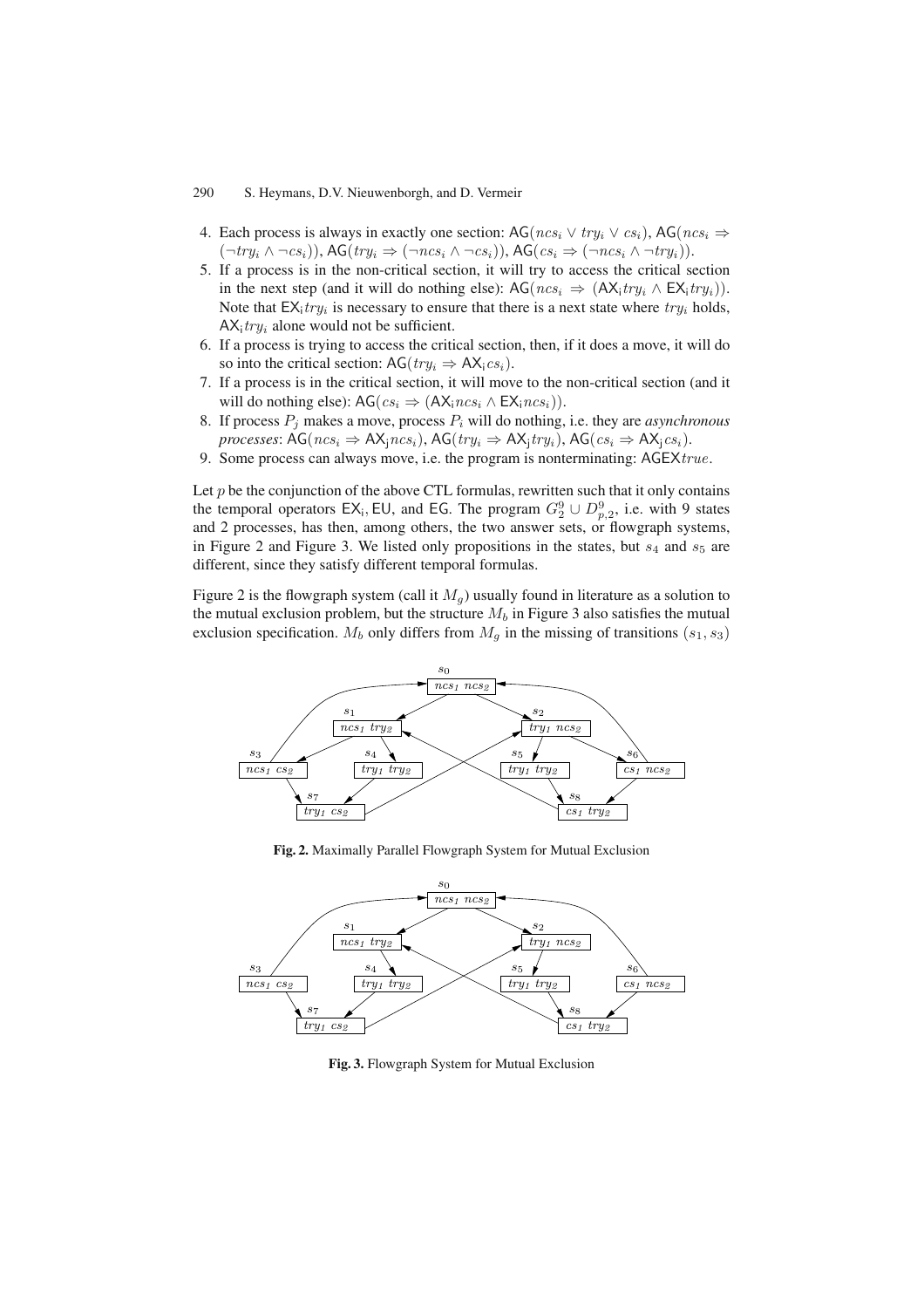- 4. Each process is always in exactly one section: AG( $ncs_i ∨ try_i ∨ cs_i$ ), AG( $ncs_i$  ⇒  $(\neg try_i \land \neg cs_i)), \mathsf{AG}(try_i \Rightarrow (\neg ncs_i \land \neg cs_i)), \mathsf{AG}(cs_i \Rightarrow (\neg ncs_i \land \neg try_i)).$
- 5. If a process is in the non-critical section, it will try to access the critical section in the next step (and it will do nothing else):  $AG(ncs_i \Rightarrow (AX_i try_i \land EX_i try_i)).$ Note that  $EX_i try_i$  is necessary to ensure that there is a next state where  $try_i$  holds,  $AX_i try_i$  alone would not be sufficient.
- 6. If a process is trying to access the critical section, then, if it does a move, it will do so into the critical section:  $AG(try_i \Rightarrow AX_ics_i)$ .
- 7. If a process is in the critical section, it will move to the non-critical section (and it will do nothing else):  $AG(cs_i \Rightarrow (AX_i ncs_i \wedge EX_i ncs_i)).$
- 8. If process  $P_i$  makes a move, process  $P_i$  will do nothing, i.e. they are *asynchronous processes*:  $AG(ncs_i \Rightarrow AX_i ncs_i)$ ,  $AG(try_i \Rightarrow AX_i try_i)$ ,  $AG(cs_i \Rightarrow AX_i cs_i)$ .
- 9. Some process can always move, i.e. the program is nonterminating:  $AGEXtrue$ .

Let  $p$  be the conjunction of the above CTL formulas, rewritten such that it only contains the temporal operators EX<sub>i</sub>, EU, and EG. The program  $G_2^9 \cup D_{p,2}^9$ , i.e. with 9 states and 2 processes, has then, among others, the two answer sets, or flowgraph systems, in Figure [2](#page-10-0) and Figure [3.](#page-10-1) We listed only propositions in the states, but  $s_4$  and  $s_5$  are different, since they satisfy different temporal formulas.

Figure [2](#page-10-0) is the flowgraph system (call it  $M_q$ ) usually found in literature as a solution to the mutual exclusion problem, but the structure  $M_b$  in Figure [3](#page-10-1) also satisfies the mutual exclusion specification.  $M_b$  only differs from  $M_g$  in the missing of transitions  $(s_1, s_3)$ 



**Fig. 2.** Maximally Parallel Flowgraph System for Mutual Exclusion

<span id="page-10-0"></span>

<span id="page-10-1"></span>**Fig. 3.** Flowgraph System for Mutual Exclusion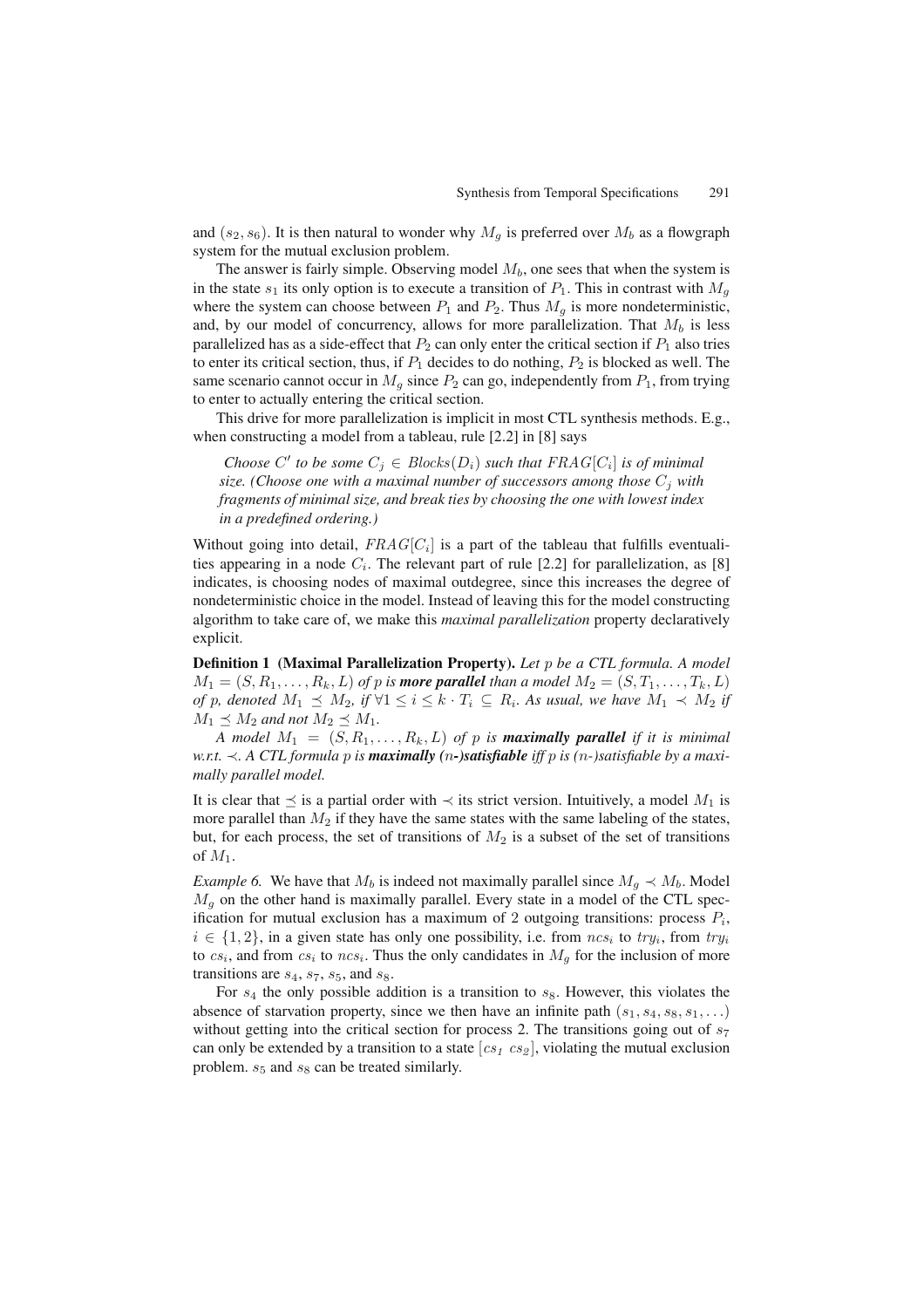and  $(s_2, s_6)$ . It is then natural to wonder why  $M_q$  is preferred over  $M_b$  as a flowgraph system for the mutual exclusion problem.

The answer is fairly simple. Observing model  $M_b$ , one sees that when the system is in the state  $s_1$  its only option is to execute a transition of  $P_1$ . This in contrast with  $M_q$ where the system can choose between  $P_1$  and  $P_2$ . Thus  $M_q$  is more nondeterministic, and, by our model of concurrency, allows for more parallelization. That  $M_b$  is less parallelized has as a side-effect that  $P_2$  can only enter the critical section if  $P_1$  also tries to enter its critical section, thus, if  $P_1$  decides to do nothing,  $P_2$  is blocked as well. The same scenario cannot occur in  $M_q$  since  $P_2$  can go, independently from  $P_1$ , from trying to enter to actually entering the critical section.

This drive for more parallelization is implicit in most CTL synthesis methods. E.g., when constructing a model from a tableau, rule [2.2] in [\[8\]](#page-13-9) says

*Choose* C' to be some  $C_j \in \text{Blocks}(D_i)$  *such that*  $\text{FRAG}[C_i]$  *is of minimal size.* (Choose one with a maximal number of successors among those  $C_i$  with *fragments of minimal size, and break ties by choosing the one with lowest index in a predefined ordering.)*

Without going into detail,  $FRAG[C_i]$  is a part of the tableau that fulfills eventualities appearing in a node  $C_i$ . The relevant part of rule [2.2] for parallelization, as [\[8\]](#page-13-9) indicates, is choosing nodes of maximal outdegree, since this increases the degree of nondeterministic choice in the model. Instead of leaving this for the model constructing algorithm to take care of, we make this *maximal parallelization* property declaratively explicit.

**Definition 1 (Maximal Parallelization Property).** *Let* p *be a CTL formula. A model*  $M_1 = (S, R_1, \ldots, R_k, L)$  *of*  $p$  *is more parallel than a model*  $M_2 = (S, T_1, \ldots, T_k, L)$ *of* p, denoted  $M_1 \preceq M_2$ , if  $\forall 1 \leq i \leq k \cdot T_i \subseteq R_i$ . As usual, we have  $M_1 \prec M_2$  if  $M_1 \preceq M_2$  *and not*  $M_2 \preceq M_1$ *.* 

*A model*  $M_1 = (S, R_1, \ldots, R_k, L)$  *of p is maximally parallel <i>if it is minimal w.r.t.* ≺*. A CTL formula* p *is maximally (*n*-)satisfiable iff* p *is (*n*-)satisfiable by a maximally parallel model.*

It is clear that  $\preceq$  is a partial order with  $\prec$  its strict version. Intuitively, a model  $M_1$  is more parallel than  $M_2$  if they have the same states with the same labeling of the states, but, for each process, the set of transitions of  $M_2$  is a subset of the set of transitions of  $M_1$ .

*Example 6.* We have that  $M_b$  is indeed not maximally parallel since  $M_g \prec M_b$ . Model  $M<sub>g</sub>$  on the other hand is maximally parallel. Every state in a model of the CTL specification for mutual exclusion has a maximum of 2 outgoing transitions: process  $P_i$ ,  $i \in \{1, 2\}$ , in a given state has only one possibility, i.e. from  $ncs_i$  to  $try_i$ , from  $try_i$ to  $cs_i$ , and from  $cs_i$  to  $ncs_i$ . Thus the only candidates in  $M<sub>g</sub>$  for the inclusion of more transitions are  $s_4$ ,  $s_7$ ,  $s_5$ , and  $s_8$ .

For  $s_4$  the only possible addition is a transition to  $s_8$ . However, this violates the absence of starvation property, since we then have an infinite path  $(s_1, s_4, s_8, s_1, \ldots)$ without getting into the critical section for process 2. The transitions going out of  $s<sub>7</sub>$ can only be extended by a transition to a state  $[cs_1 \, cs_2]$ , violating the mutual exclusion problem.  $s_5$  and  $s_8$  can be treated similarly.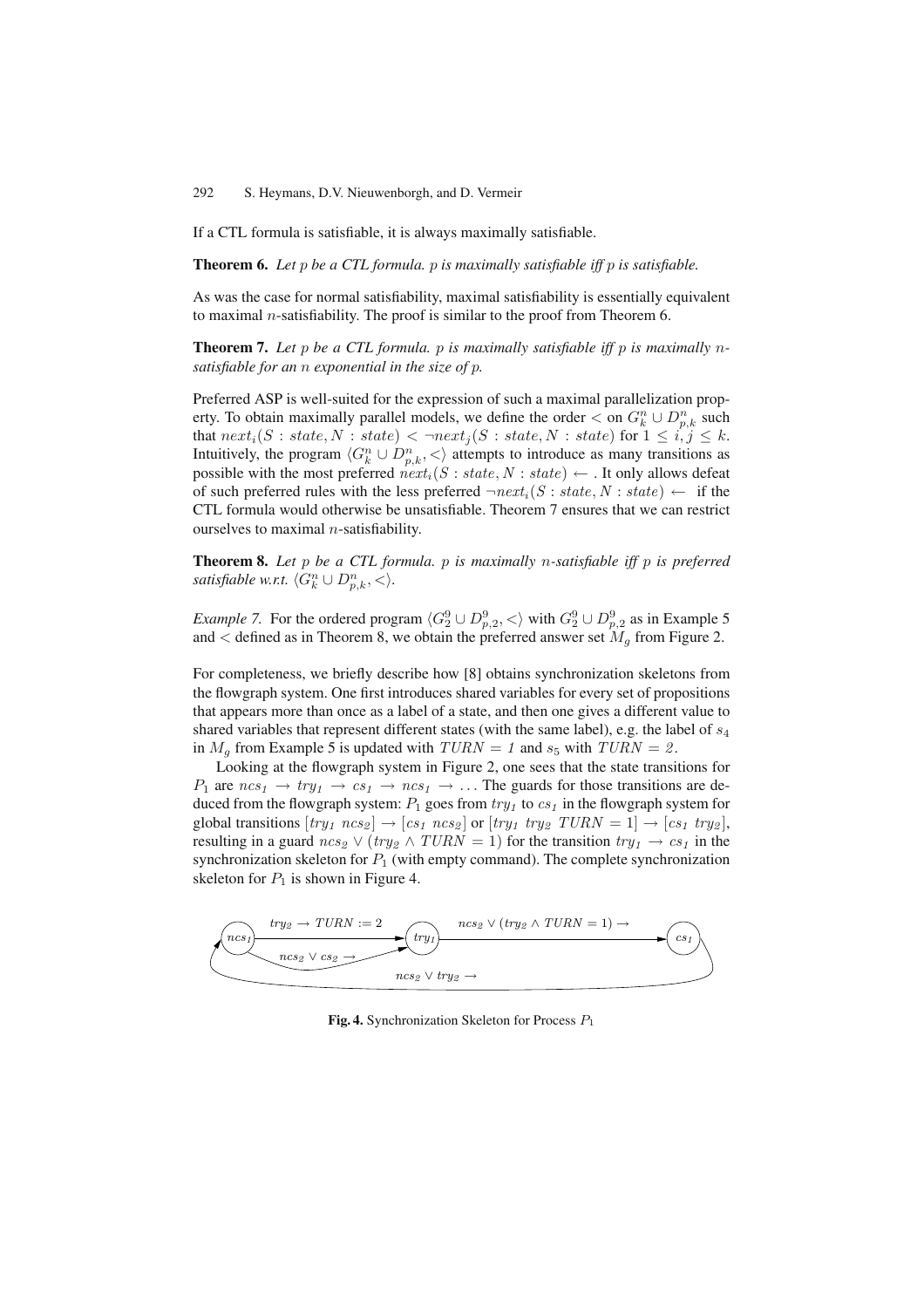<span id="page-12-0"></span>If a CTL formula is satisfiable, it is always maximally satisfiable.

**Theorem 6.** *Let* p *be a CTL formula.* p *is maximally satisfiable iff* p *is satisfiable.*

<span id="page-12-1"></span>As was the case for normal satisfiability, maximal satisfiability is essentially equivalent to maximal n-satisfiability. The proof is similar to the proof from Theorem [6.](#page-12-0)

**Theorem 7.** *Let* p *be a CTL formula.* p *is maximally satisfiable iff* p *is maximally* n*satisfiable for an* n *exponential in the size of* p*.*

Preferred ASP is well-suited for the expression of such a maximal parallelization property. To obtain maximally parallel models, we define the order  $\langle$  on  $G_k^n \cup D_{p,k}^n$  such that  $next_i(S : state, N : state) < \neg next_j(S : state, N : state)$  for  $1 \leq i, j \leq k$ . Intuitively, the program  $\langle G_k^n \cup D_{p,k}^n, \langle \rangle$  attempts to introduce as many transitions as possible with the most preferred  $next_i(S : state, N : state) \leftarrow$ . It only allows defeat of such preferred rules with the less preferred  $\neg next_i(S : state, N : state) \leftarrow$  if the CTL formula would otherwise be unsatisfiable. Theorem [7](#page-12-1) ensures that we can restrict ourselves to maximal n-satisfiability.

<span id="page-12-2"></span>**Theorem 8.** *Let* p *be a CTL formula.* p *is maximally* n*-satisfiable iff* p *is preferred satisfiable w.r.t.*  $\langle G_k^n \cup D_{p,k}^n, < \rangle$ .

*Example 7.* For the ordered program  $\langle G_2^9 \cup D_{p,2}^9 \rangle$ , with  $G_2^9 \cup D_{p,2}^9$  as in Example [5](#page-9-1) and  $\lt$  defined as in Theorem [8,](#page-12-2) we obtain the preferred answer set  $M_g$  from Figure [2.](#page-10-0)

For completeness, we briefly describe how [\[8\]](#page-13-9) obtains synchronization skeletons from the flowgraph system. One first introduces shared variables for every set of propositions that appears more than once as a label of a state, and then one gives a different value to shared variables that represent different states (with the same label), e.g. the label of  $s<sub>4</sub>$ in  $M_q$  from Example [5](#page-9-1) is updated with  $TURN = 1$  and  $s_5$  with  $TURN = 2$ .

Looking at the flowgraph system in Figure [2,](#page-10-0) one sees that the state transitions for  $P_1$  are  $ncs_1 \rightarrow try_1 \rightarrow cs_1 \rightarrow ncs_1 \rightarrow \ldots$  The guards for those transitions are deduced from the flowgraph system:  $P_1$  goes from  $try_1$  to  $cs_1$  in the flowgraph system for global transitions  $[try_1 \ ncs_2] \rightarrow [cs_1 \ ncs_2]$  or  $[try_1 \ try_2 \ TURN = 1] \rightarrow [cs_1 \ try_2]$ , resulting in a guard  $ncs_2 \vee (try_2 \wedge TURN = 1)$  for the transition  $try_1 \rightarrow cs_1$  in the synchronization skeleton for  $P_1$  (with empty command). The complete synchronization skeleton for  $P_1$  is shown in Figure [4.](#page-12-3)



<span id="page-12-3"></span>**Fig. 4.** Synchronization Skeleton for Process  $P_1$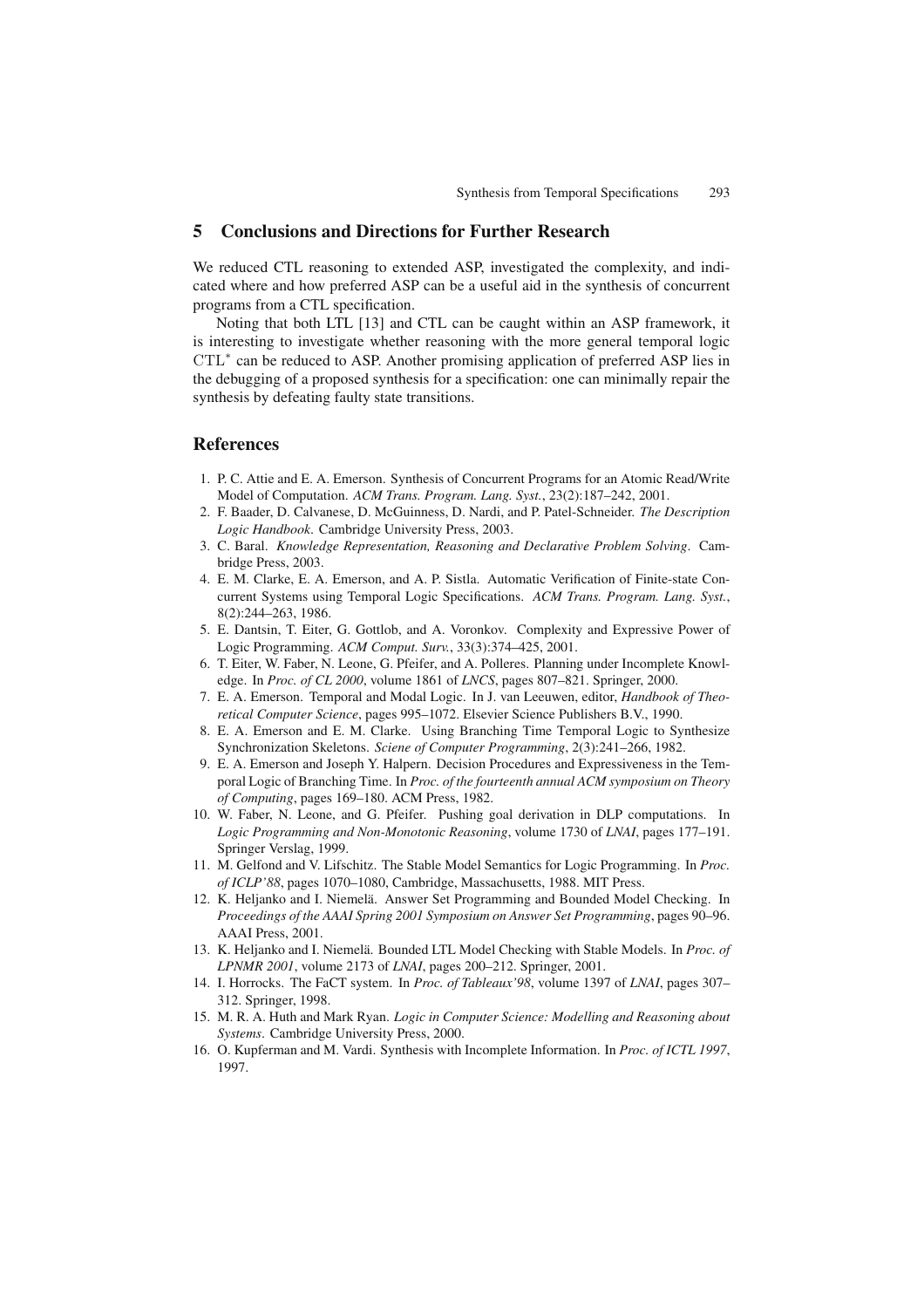## <span id="page-13-12"></span>**5 Conclusions and Directions for Further Research**

We reduced CTL reasoning to extended ASP, investigated the complexity, and indicated where and how preferred ASP can be a useful aid in the synthesis of concurrent programs from a CTL specification.

Noting that both LTL [\[13\]](#page-13-8) and CTL can be caught within an ASP framework, it is interesting to investigate whether reasoning with the more general temporal logic CTL<sup>∗</sup> can be reduced to ASP. Another promising application of preferred ASP lies in the debugging of a proposed synthesis for a specification: one can minimally repair the synthesis by defeating faulty state transitions.

#### <span id="page-13-10"></span><span id="page-13-5"></span>**References**

- 1. P. C. Attie and E. A. Emerson. Synthesis of Concurrent Programs for an Atomic Read/Write Model of Computation. *ACM Trans. Program. Lang. Syst.*, 23(2):187–242, 2001.
- <span id="page-13-14"></span>2. F. Baader, D. Calvanese, D. McGuinness, D. Nardi, and P. Patel-Schneider. *The Description Logic Handbook*. Cambridge University Press, 2003.
- <span id="page-13-4"></span>3. C. Baral. *Knowledge Representation, Reasoning and Declarative Problem Solving*. Cambridge Press, 2003.
- <span id="page-13-2"></span>4. E. M. Clarke, E. A. Emerson, and A. P. Sistla. Automatic Verification of Finite-state Concurrent Systems using Temporal Logic Specifications. *ACM Trans. Program. Lang. Syst.*, 8(2):244–263, 1986.
- <span id="page-13-17"></span>5. E. Dantsin, T. Eiter, G. Gottlob, and A. Voronkov. Complexity and Expressive Power of Logic Programming. *ACM Comput. Surv.*, 33(3):374–425, 2001.
- <span id="page-13-6"></span>6. T. Eiter, W. Faber, N. Leone, G. Pfeifer, and A. Polleres. Planning under Incomplete Knowledge. In *Proc. of CL 2000*, volume 1861 of *LNCS*, pages 807–821. Springer, 2000.
- <span id="page-13-0"></span>7. E. A. Emerson. Temporal and Modal Logic. In J. van Leeuwen, editor, *Handbook of Theoretical Computer Science*, pages 995–1072. Elsevier Science Publishers B.V., 1990.
- <span id="page-13-9"></span>8. E. A. Emerson and E. M. Clarke. Using Branching Time Temporal Logic to Synthesize Synchronization Skeletons. *Sciene of Computer Programming*, 2(3):241–266, 1982.
- <span id="page-13-1"></span>9. E. A. Emerson and Joseph Y. Halpern. Decision Procedures and Expressiveness in the Temporal Logic of Branching Time. In *Proc. of the fourteenth annual ACM symposium on Theory of Computing*, pages 169–180. ACM Press, 1982.
- <span id="page-13-16"></span>10. W. Faber, N. Leone, and G. Pfeifer. Pushing goal derivation in DLP computations. In *Logic Programming and Non-Monotonic Reasoning*, volume 1730 of *LNAI*, pages 177–191. Springer Verslag, 1999.
- <span id="page-13-3"></span>11. M. Gelfond and V. Lifschitz. The Stable Model Semantics for Logic Programming. In *Proc. of ICLP'88*, pages 1070–1080, Cambridge, Massachusetts, 1988. MIT Press.
- <span id="page-13-7"></span>12. K. Heljanko and I. Niemelä. Answer Set Programming and Bounded Model Checking. In *Proceedings of the AAAI Spring 2001 Symposium on Answer Set Programming*, pages 90–96. AAAI Press, 2001.
- <span id="page-13-8"></span>13. K. Heljanko and I. Niemelä. Bounded LTL Model Checking with Stable Models. In *Proc. of LPNMR 2001*, volume 2173 of *LNAI*, pages 200–212. Springer, 2001.
- <span id="page-13-15"></span><span id="page-13-13"></span>14. I. Horrocks. The FaCT system. In *Proc. of Tableaux'98*, volume 1397 of *LNAI*, pages 307– 312. Springer, 1998.
- 15. M. R. A. Huth and Mark Ryan. *Logic in Computer Science: Modelling and Reasoning about Systems*. Cambridge University Press, 2000.
- <span id="page-13-11"></span>16. O. Kupferman and M. Vardi. Synthesis with Incomplete Information. In *Proc. of ICTL 1997*, 1997.